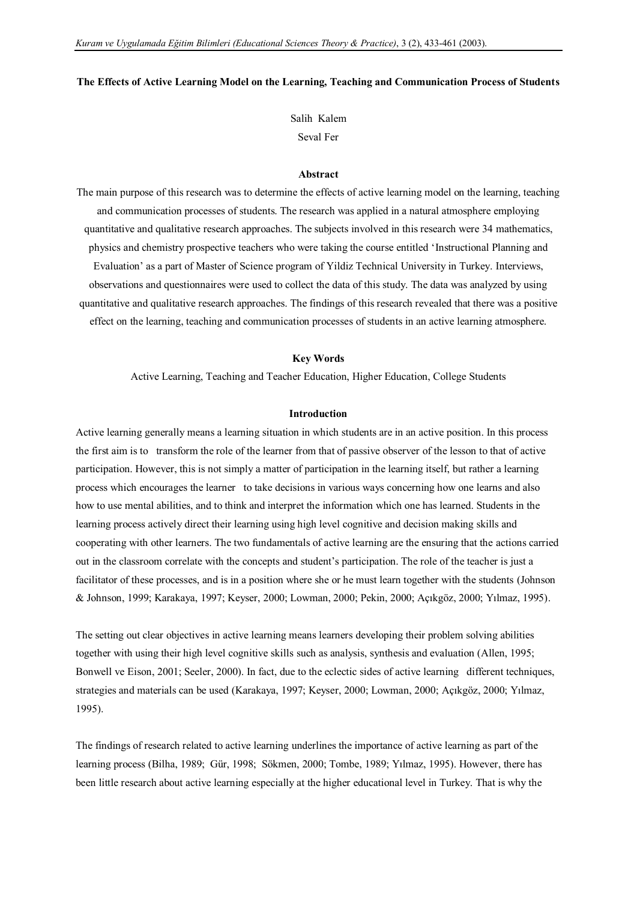#### **The Effects of Active Learning Model on the Learning, Teaching and Communication Process of Students**

Salih Kalem Seval Fer

### **Abstract**

The main purpose of this research was to determine the effects of active learning model on the learning, teaching and communication processes of students. The research was applied in a natural atmosphere employing quantitative and qualitative research approaches. The subjects involved in this research were 34 mathematics, physics and chemistry prospective teachers who were taking the course entitled "Instructional Planning and Evaluation" as a part of Master of Science program of Yildiz Technical University in Turkey. Interviews, observations and questionnaires were used to collect the data of this study. The data was analyzed by using quantitative and qualitative research approaches. The findings of this research revealed that there was a positive effect on the learning, teaching and communication processes of students in an active learning atmosphere.

#### **Key Words**

Active Learning, Teaching and Teacher Education, Higher Education, College Students

### **Introduction**

Active learning generally means a learning situation in which students are in an active position. In this process the first aim is to transform the role of the learner from that of passive observer of the lesson to that of active participation. However, this is not simply a matter of participation in the learning itself, but rather a learning process which encourages the learner to take decisions in various ways concerning how one learns and also how to use mental abilities, and to think and interpret the information which one has learned. Students in the learning process actively direct their learning using high level cognitive and decision making skills and cooperating with other learners. The two fundamentals of active learning are the ensuring that the actions carried out in the classroom correlate with the concepts and student"s participation. The role of the teacher is just a facilitator of these processes, and is in a position where she or he must learn together with the students (Johnson & Johnson, 1999; Karakaya, 1997; Keyser, 2000; Lowman, 2000; Pekin, 2000; Açıkgöz, 2000; Yılmaz, 1995).

The setting out clear objectives in active learning means learners developing their problem solving abilities together with using their high level cognitive skills such as analysis, synthesis and evaluation (Allen, 1995; Bonwell ve Eison, 2001; Seeler, 2000). In fact, due to the eclectic sides of active learning different techniques, strategies and materials can be used (Karakaya, 1997; Keyser, 2000; Lowman, 2000; Açıkgöz, 2000; Yılmaz, 1995).

The findings of research related to active learning underlines the importance of active learning as part of the learning process (Bilha, 1989; Gür, 1998; Sökmen, 2000; Tombe, 1989; Yılmaz, 1995). However, there has been little research about active learning especially at the higher educational level in Turkey. That is why the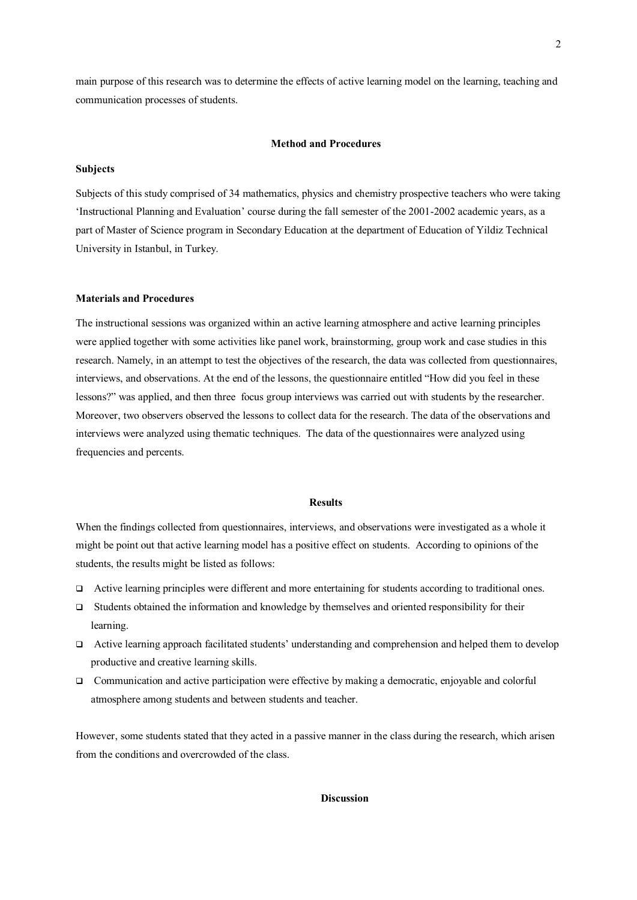main purpose of this research was to determine the effects of active learning model on the learning, teaching and communication processes of students.

#### **Method and Procedures**

### **Subjects**

Subjects of this study comprised of 34 mathematics, physics and chemistry prospective teachers who were taking "Instructional Planning and Evaluation" course during the fall semester of the 2001-2002 academic years, as a part of Master of Science program in Secondary Education at the department of Education of Yildiz Technical University in Istanbul, in Turkey.

# **Materials and Procedures**

The instructional sessions was organized within an active learning atmosphere and active learning principles were applied together with some activities like panel work, brainstorming, group work and case studies in this research. Namely, in an attempt to test the objectives of the research, the data was collected from questionnaires, interviews, and observations. At the end of the lessons, the questionnaire entitled "How did you feel in these lessons?" was applied, and then three focus group interviews was carried out with students by the researcher. Moreover, two observers observed the lessons to collect data for the research. The data of the observations and interviews were analyzed using thematic techniques. The data of the questionnaires were analyzed using frequencies and percents.

#### **Results**

When the findings collected from questionnaires, interviews, and observations were investigated as a whole it might be point out that active learning model has a positive effect on students. According to opinions of the students, the results might be listed as follows:

- Active learning principles were different and more entertaining for students according to traditional ones.
- $\Box$  Students obtained the information and knowledge by themselves and oriented responsibility for their learning.
- Active learning approach facilitated students" understanding and comprehension and helped them to develop productive and creative learning skills.
- Communication and active participation were effective by making a democratic, enjoyable and colorful atmosphere among students and between students and teacher.

However, some students stated that they acted in a passive manner in the class during the research, which arisen from the conditions and overcrowded of the class.

### **Discussion**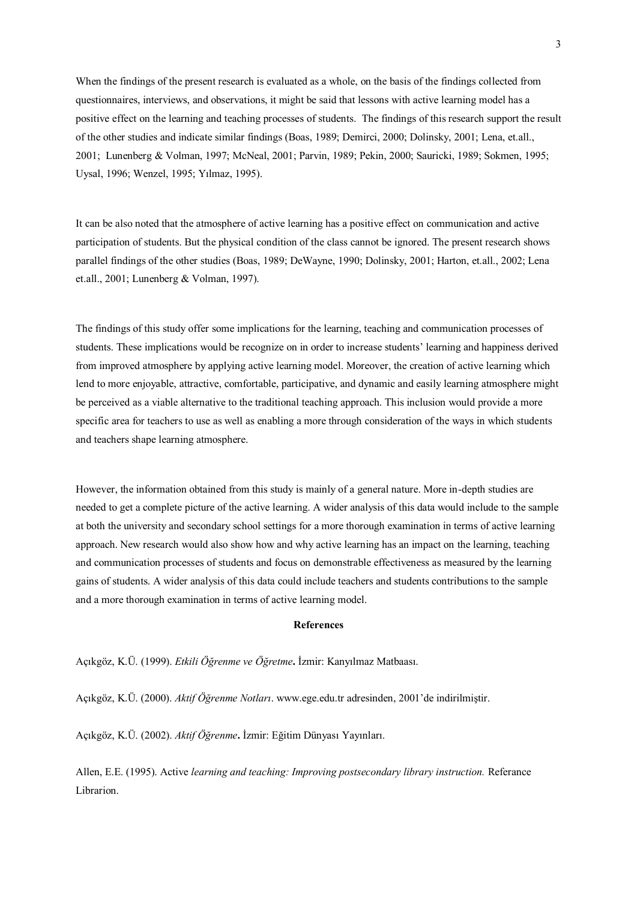When the findings of the present research is evaluated as a whole, on the basis of the findings collected from questionnaires, interviews, and observations, it might be said that lessons with active learning model has a positive effect on the learning and teaching processes of students. The findings of this research support the result of the other studies and indicate similar findings (Boas, 1989; Demirci, 2000; Dolinsky, 2001; Lena, et.all., 2001; Lunenberg & Volman, 1997; McNeal, 2001; Parvin, 1989; Pekin, 2000; Sauricki, 1989; Sokmen, 1995; Uysal, 1996; Wenzel, 1995; Yılmaz, 1995).

It can be also noted that the atmosphere of active learning has a positive effect on communication and active participation of students. But the physical condition of the class cannot be ignored. The present research shows parallel findings of the other studies (Boas, 1989; DeWayne, 1990; Dolinsky, 2001; Harton, et.all., 2002; Lena et.all., 2001; Lunenberg & Volman, 1997).

The findings of this study offer some implications for the learning, teaching and communication processes of students. These implications would be recognize on in order to increase students" learning and happiness derived from improved atmosphere by applying active learning model. Moreover, the creation of active learning which lend to more enjoyable, attractive, comfortable, participative, and dynamic and easily learning atmosphere might be perceived as a viable alternative to the traditional teaching approach. This inclusion would provide a more specific area for teachers to use as well as enabling a more through consideration of the ways in which students and teachers shape learning atmosphere.

However, the information obtained from this study is mainly of a general nature. More in-depth studies are needed to get a complete picture of the active learning. A wider analysis of this data would include to the sample at both the university and secondary school settings for a more thorough examination in terms of active learning approach. New research would also show how and why active learning has an impact on the learning, teaching and communication processes of students and focus on demonstrable effectiveness as measured by the learning gains of students. A wider analysis of this data could include teachers and students contributions to the sample and a more thorough examination in terms of active learning model.

## **References**

Açıkgöz, K.Ü. (1999). *Etkili Öğrenme ve Öğretme***.** İzmir: Kanyılmaz Matbaası.

Açıkgöz, K.Ü. (2000). *Aktif Öğrenme Notları*. www.ege.edu.tr adresinden, 2001"de indirilmiştir.

Açıkgöz, K.Ü. (2002). *Aktif Öğrenme***.** İzmir: Eğitim Dünyası Yayınları.

Allen, E.E. (1995). Active *learning and teaching: Improving postsecondary library instruction.* Referance Librarion.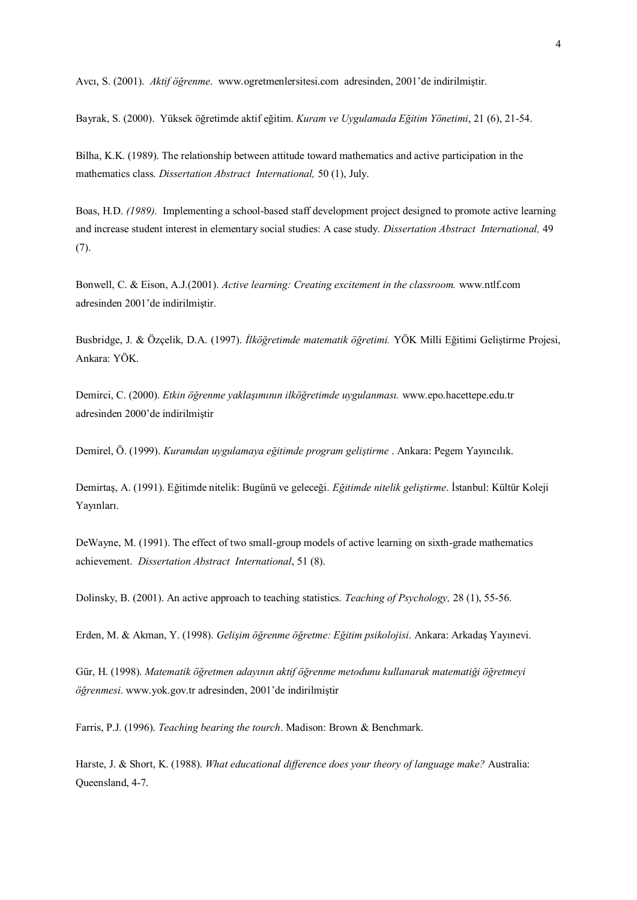Avcı, S. (2001). *Aktif öğrenme*. www.ogretmenlersitesi.com adresinden, 2001"de indirilmiştir.

Bayrak, S. (2000). Yüksek öğretimde aktif eğitim. *Kuram ve Uygulamada Eğitim Yönetimi*, 21 (6), 21-54.

Bilha, K.K. (1989). The relationship between attitude toward mathematics and active participation in the mathematics class. *Dissertation Abstract International,* 50 (1), July.

Boas, H.D. *(1989).* Implementing a school-based staff development project designed to promote active learning and increase student interest in elementary social studies: A case study. *Dissertation Abstract International,* 49 (7).

Bonwell, C. & Eison, A.J.(2001). *Active learning: Creating excitement in the classroom.* [www.ntlf.com](http://www.ntlf.com/) adresinden 2001"de indirilmiştir.

Busbridge, J. & Özçelik, D.A. (1997). *İlköğretimde matematik öğretimi.* YÖK Milli Eğitimi Geliştirme Projesi, Ankara: YÖK.

Demirci, C. (2000). *Etkin öğrenme yaklaşımının ilköğretimde uygulanması.* www.epo.hacettepe.edu.tr adresinden 2000"de indirilmiştir

Demirel, Ö. (1999). *Kuramdan uygulamaya eğitimde program geliştirme* . Ankara: Pegem Yayıncılık.

Demirtaş, A. (1991). Eğitimde nitelik: Bugünü ve geleceği. *Eğitimde nitelik geliştirme*. İstanbul: Kültür Koleji Yayınları.

DeWayne, M. (1991). The effect of two small-group models of active learning on sixth-grade mathematics achievement. *Dissertation Abstract International*, 51 (8).

Dolinsky, B. (2001). An active approach to teaching statistics. *Teaching of Psychology,* 28 (1), 55-56.

Erden, M. & Akman, Y. (1998). *Gelişim öğrenme öğretme: Eğitim psikolojisi*. Ankara: Arkadaş Yayınevi.

Gür, H. (1998). *Matematik öğretmen adayının aktif öğrenme metodunu kullanarak matematiği öğretmeyi öğrenmesi*[. www.yok.gov.tr](http://www.yok.gov.tr/) adresinden, 2001"de indirilmiştir

Farris, P.J. (1996). *Teaching bearing the tourch*. Madison: Brown & Benchmark.

Harste, J. & Short, K. (1988). *What educational difference does your theory of language make?* Australia: Queensland, 4-7.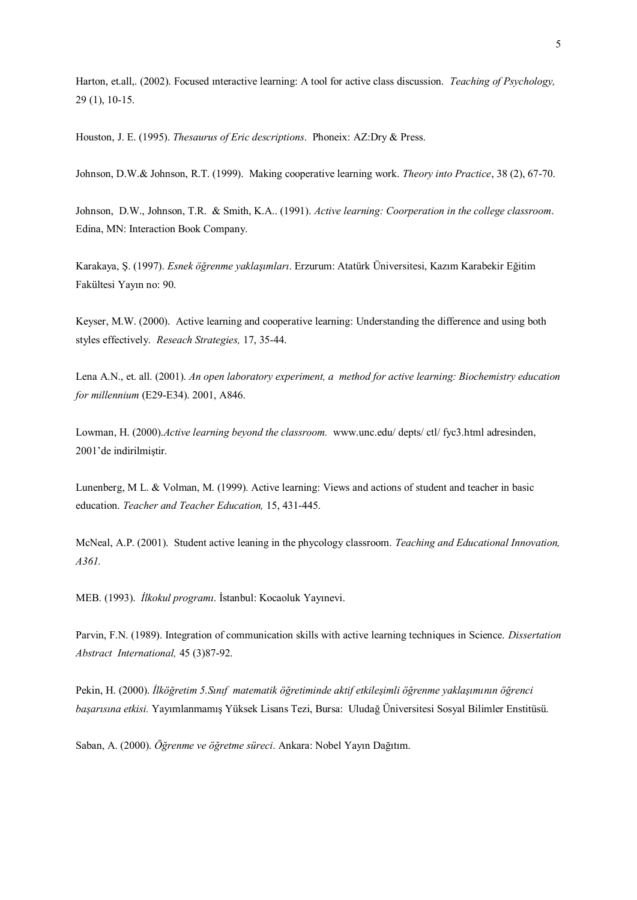Harton, et.all,. (2002). Focused ınteractive learning: A tool for active class discussion. *Teaching of Psychology,*  29 (1), 10-15.

Houston, J. E. (1995). *Thesaurus of Eric descriptions*. Phoneix: AZ:Dry & Press.

Johnson, D.W.& Johnson, R.T. (1999). Making cooperative learning work. *Theory into Practice*, 38 (2), 67-70.

Johnson, D.W., Johnson, T.R. & Smith, K.A.. (1991). *Active learning: Coorperation in the college classroom*. Edina, MN: Interaction Book Company.

Karakaya, Ş. (1997). *Esnek öğrenme yaklaşımları*. Erzurum: Atatürk Üniversitesi, Kazım Karabekir Eğitim Fakültesi Yayın no: 90.

Keyser, M.W. (2000). Active learning and cooperative learning: Understanding the difference and using both styles effectively. *Reseach Strategies,* 17, 35-44.

Lena A.N., et. all. (2001). *An open laboratory experiment, a method for active learning: Biochemistry education for millennium* (E29-E34). 2001, A846.

Lowman, H. (2000).*Active learning beyond the classroom.* [www.unc.edu/ depts/ ctl/ fyc3.html](http://www.unc.edu/%20depts/%20ctl/%20fyc3.html) adresinden, 2001"de indirilmiştir.

Lunenberg, M L. & Volman, M. (1999). Active learning: Views and actions of student and teacher in basic education. *Teacher and Teacher Education,* 15, 431-445.

McNeal, A.P. (2001). Student active leaning in the phycology classroom. *Teaching and Educational Innovation, A361.*

MEB. (1993). *İlkokul programı*. İstanbul: Kocaoluk Yayınevi.

Parvin, F.N. (1989). Integration of communication skills with active learning techniques in Science. *Dissertation Abstract International,* 45 (3)87-92.

Pekin, H. (2000). *İlköğretim 5.Sınıf matematik öğretiminde aktif etkileşimli öğrenme yaklaşımının öğrenci başarısına etkisi.* Yayımlanmamış Yüksek Lisans Tezi, Bursa: Uludağ Üniversitesi Sosyal Bilimler Enstitüsü.

Saban, A. (2000). *Öğrenme ve öğretme süreci*. Ankara: Nobel Yayın Dağıtım.